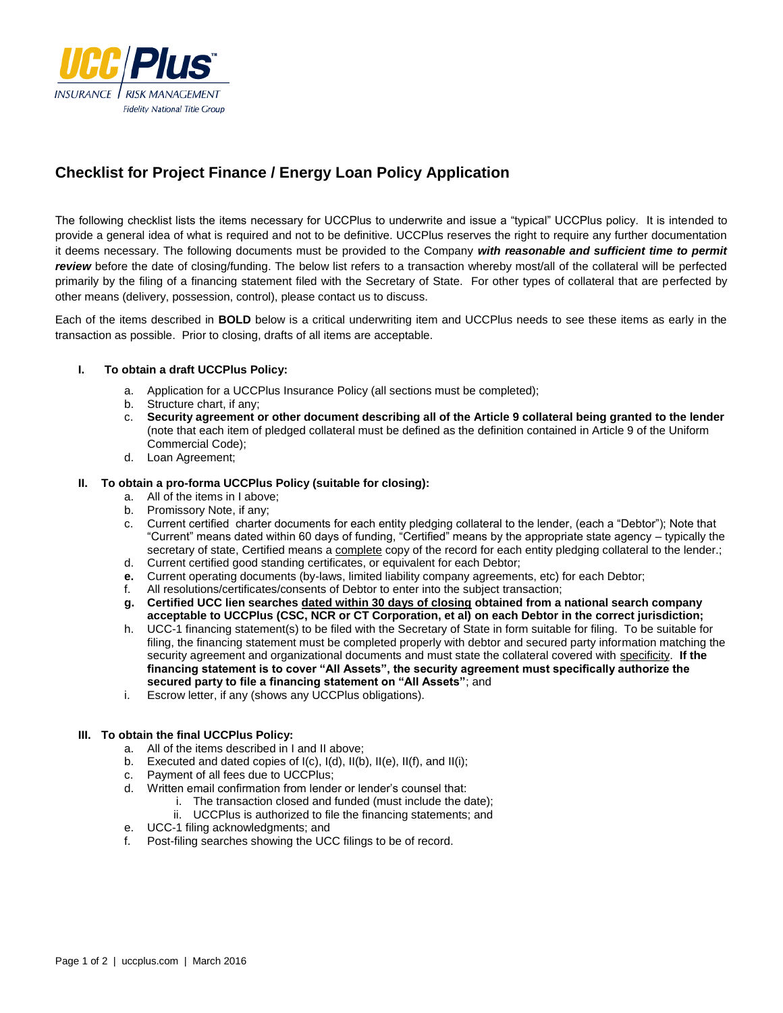

# **Checklist for Project Finance / Energy Loan Policy Application**

The following checklist lists the items necessary for UCCPlus to underwrite and issue a "typical" UCCPlus policy. It is intended to provide a general idea of what is required and not to be definitive. UCCPlus reserves the right to require any further documentation it deems necessary. The following documents must be provided to the Company *with reasonable and sufficient time to permit review* before the date of closing/funding. The below list refers to a transaction whereby most/all of the collateral will be perfected primarily by the filing of a financing statement filed with the Secretary of State. For other types of collateral that are perfected by other means (delivery, possession, control), please contact us to discuss.

Each of the items described in **BOLD** below is a critical underwriting item and UCCPlus needs to see these items as early in the transaction as possible. Prior to closing, drafts of all items are acceptable.

## **I. To obtain a draft UCCPlus Policy:**

- a. Application for a UCCPlus Insurance Policy (all sections must be completed);
- Structure chart, if any;
- c. **Security agreement or other document describing all of the Article 9 collateral being granted to the lender** (note that each item of pledged collateral must be defined as the definition contained in Article 9 of the Uniform Commercial Code);
- d. Loan Agreement;

#### **II. To obtain a pro-forma UCCPlus Policy (suitable for closing):**

- a. All of the items in I above;
- b. Promissory Note, if any;
- c. Current certified charter documents for each entity pledging collateral to the lender, (each a "Debtor"); Note that "Current" means dated within 60 days of funding, "Certified" means by the appropriate state agency – typically the secretary of state, Certified means a complete copy of the record for each entity pledging collateral to the lender.;
- d. Current certified good standing certificates, or equivalent for each Debtor;
- **e.** Current operating documents (by-laws, limited liability company agreements, etc) for each Debtor;
- f. All resolutions/certificates/consents of Debtor to enter into the subject transaction;
- **g. Certified UCC lien searches dated within 30 days of closing obtained from a national search company acceptable to UCCPlus (CSC, NCR or CT Corporation, et al) on each Debtor in the correct jurisdiction;**
- h. UCC-1 financing statement(s) to be filed with the Secretary of State in form suitable for filing. To be suitable for filing, the financing statement must be completed properly with debtor and secured party information matching the security agreement and organizational documents and must state the collateral covered with specificity. **If the financing statement is to cover "All Assets", the security agreement must specifically authorize the secured party to file a financing statement on "All Assets"**; and
- i. Escrow letter, if any (shows any UCCPlus obligations).

## **III. To obtain the final UCCPlus Policy:**

- a. All of the items described in I and II above;
- b. Executed and dated copies of I(c), I(d), II(b), II(e), II(f), and II(i);
- c. Payment of all fees due to UCCPlus;
- d. Written email confirmation from lender or lender's counsel that:
	- i. The transaction closed and funded (must include the date);
	- ii. UCCPlus is authorized to file the financing statements; and
- e. UCC-1 filing acknowledgments; and
- f. Post-filing searches showing the UCC filings to be of record.